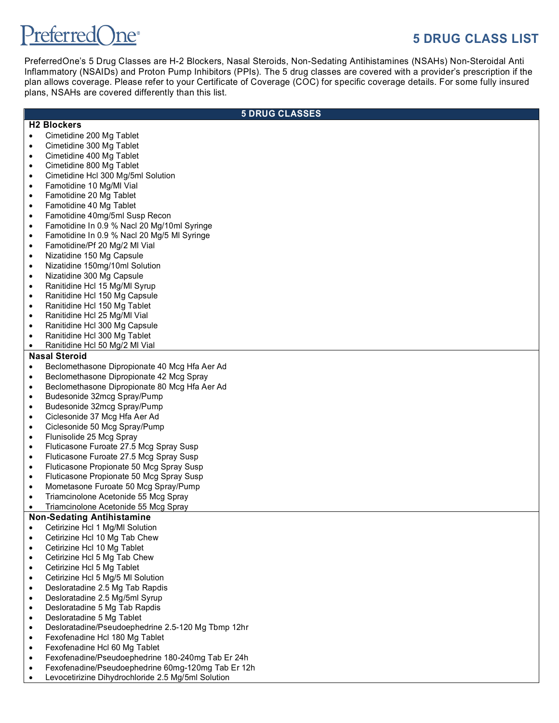# $\mathsf{Pr}$ eferred $\bigcap \mathsf{ne}^*$

# **5 DRUG CLASS LIST**

PreferredOne's 5 Drug Classes are H-2 Blockers, Nasal Steroids, Non-Sedating Antihistamines (NSAHs) Non-Steroidal Anti Inflammatory (NSAIDs) and Proton Pump Inhibitors (PPIs). The 5 drug classes are covered with a provider's prescription if the plan allows coverage. Please refer to your Certificate of Coverage (COC) for specific coverage details. For some fully insured plans, NSAHs are covered differently than this list.

## **5 DRUG CLASSES**

#### **H2 Blockers**

- Cimetidine 200 Mg Tablet
- Cimetidine 300 Mg Tablet
- Cimetidine 400 Mg Tablet
- Cimetidine 800 Mg Tablet
- Cimetidine Hcl 300 Mg/5ml Solution
- Famotidine 10 Mg/Ml Vial
- Famotidine 20 Mg Tablet
- Famotidine 40 Mg Tablet
- Famotidine 40mg/5ml Susp Recon
- Famotidine In 0.9 % Nacl 20 Mg/10ml Syringe
- Famotidine In 0.9 % Nacl 20 Mg/5 Ml Syringe
- Famotidine/Pf 20 Mg/2 Ml Vial
- Nizatidine 150 Mg Capsule
- Nizatidine 150mg/10ml Solution
- Nizatidine 300 Mg Capsule
- Ranitidine Hcl 15 Mg/Ml Syrup
- Ranitidine Hcl 150 Mg Capsule
- Ranitidine Hcl 150 Mg Tablet
- Ranitidine Hcl 25 Mg/Ml Vial
- Ranitidine Hcl 300 Mg Capsule
- Ranitidine Hcl 300 Mg Tablet
- Ranitidine Hcl 50 Mg/2 Ml Vial

# **Nasal Steroid**

- Beclomethasone Dipropionate 40 Mcg Hfa Aer Ad
- Beclomethasone Dipropionate 42 Mcg Spray
- Beclomethasone Dipropionate 80 Mcg Hfa Aer Ad
- Budesonide 32mcg Spray/Pump
- Budesonide 32mcg Spray/Pump
- Ciclesonide 37 Mcg Hfa Aer Ad
- Ciclesonide 50 Mcg Spray/Pump
- Flunisolide 25 Mcg Spray
- Fluticasone Furoate 27.5 Mcg Spray Susp
- Fluticasone Furoate 27.5 Mcg Spray Susp
- Fluticasone Propionate 50 Mcg Spray Susp
- Fluticasone Propionate 50 Mcg Spray Susp
- Mometasone Furoate 50 Mcg Spray/Pump
- Triamcinolone Acetonide 55 Mcg Spray
- Triamcinolone Acetonide 55 Mcg Spray

# **Non-Sedating Antihistamine**

- Cetirizine Hcl 1 Mg/Ml Solution
- Cetirizine Hcl 10 Mg Tab Chew
- Cetirizine Hcl 10 Mg Tablet
- Cetirizine Hcl 5 Mg Tab Chew
- Cetirizine Hcl 5 Mg Tablet
- Cetirizine Hcl 5 Mg/5 Ml Solution
- Desloratadine 2.5 Mg Tab Rapdis
- Desloratadine 2.5 Mg/5ml Syrup
- Desloratadine 5 Mg Tab Rapdis
- Desloratadine 5 Mg Tablet
- Desloratadine/Pseudoephedrine 2.5-120 Mg Tbmp 12hr
- Fexofenadine Hcl 180 Mg Tablet
- Fexofenadine Hcl 60 Mg Tablet
- Fexofenadine/Pseudoephedrine 180-240mg Tab Er 24h
- Fexofenadine/Pseudoephedrine 60mg-120mg Tab Er 12h
- Levocetirizine Dihydrochloride 2.5 Mg/5ml Solution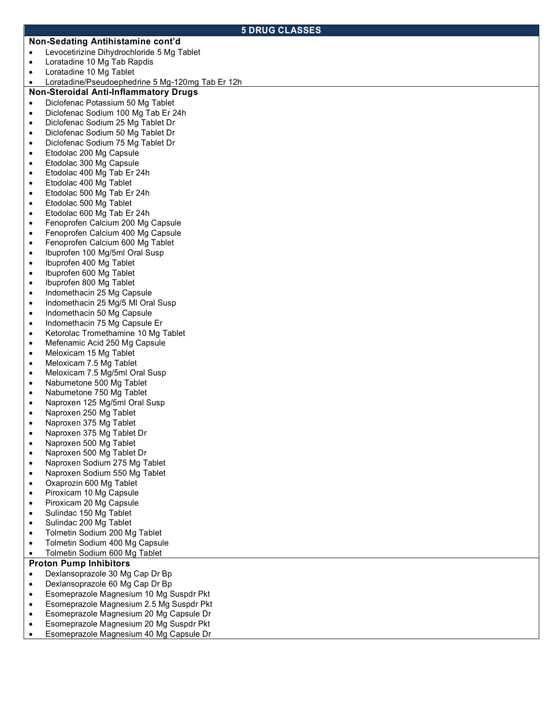#### **5 DRUG CLASSES**

#### **Non-Sedating Antihistamine cont'd**

- Levocetirizine Dihydrochloride 5 Mg Tablet
- Loratadine 10 Mg Tab Rapdis
- Loratadine 10 Mg Tablet
- Loratadine/Pseudoephedrine 5 Mg-120mg Tab Er 12h

# **Non-Steroidal Anti-Inflammatory Drugs**

- Diclofenac Potassium 50 Mg Tablet
- Diclofenac Sodium 100 Mg Tab Er 24h
- Diclofenac Sodium 25 Mg Tablet Dr
- Diclofenac Sodium 50 Mg Tablet Dr
- Diclofenac Sodium 75 Mg Tablet Dr
- Etodolac 200 Mg Capsule
- Etodolac 300 Mg Capsule
- Etodolac 400 Mg Tab Er 24h
- Etodolac 400 Mg Tablet
- Etodolac 500 Mg Tab Er 24h
- Etodolac 500 Mg Tablet
- Etodolac 600 Mg Tab Er 24h
- Fenoprofen Calcium 200 Mg Capsule
- Fenoprofen Calcium 400 Mg Capsule
- Fenoprofen Calcium 600 Mg Tablet
- Ibuprofen 100 Mg/5ml Oral Susp
- Ibuprofen 400 Mg Tablet
- Ibuprofen 600 Mg Tablet
- Ibuprofen 800 Mg Tablet
- Indomethacin 25 Mg Capsule
- Indomethacin 25 Mg/5 MI Oral Susp
- Indomethacin 50 Mg Capsule
- Indomethacin 75 Mg Capsule Er
- Ketorolac Tromethamine 10 Mg Tablet
- Mefenamic Acid 250 Mg Capsule
- Meloxicam 15 Mg Tablet
- Meloxicam 7.5 Mg Tablet
- Meloxicam 7.5 Mg/5ml Oral Susp
- Nabumetone 500 Mg Tablet
- Nabumetone 750 Mg Tablet
- Naproxen 125 Mg/5ml Oral Susp
- Naproxen 250 Mg Tablet
- Naproxen 375 Mg Tablet
- Naproxen 375 Mg Tablet Dr
- Naproxen 500 Mg Tablet
- Naproxen 500 Mg Tablet Dr
- Naproxen Sodium 275 Mg Tablet
- Naproxen Sodium 550 Mg Tablet
- Oxaprozin 600 Mg Tablet
- Piroxicam 10 Mg Capsule
- Piroxicam 20 Mg Capsule
- Sulindac 150 Mg Tablet
- Sulindac 200 Mg Tablet
- Tolmetin Sodium 200 Mg Tablet
- Tolmetin Sodium 400 Mg Capsule
- Tolmetin Sodium 600 Mg Tablet

#### **Proton Pump Inhibitors**

- Dexlansoprazole 30 Mg Cap Dr Bp
- Dexlansoprazole 60 Mg Cap Dr Bp
- Esomeprazole Magnesium 10 Mg Suspdr Pkt
- Esomeprazole Magnesium 2.5 Mg Suspdr Pkt
- Esomeprazole Magnesium 20 Mg Capsule Dr
- Esomeprazole Magnesium 20 Mg Suspdr Pkt
- Esomeprazole Magnesium 40 Mg Capsule Dr